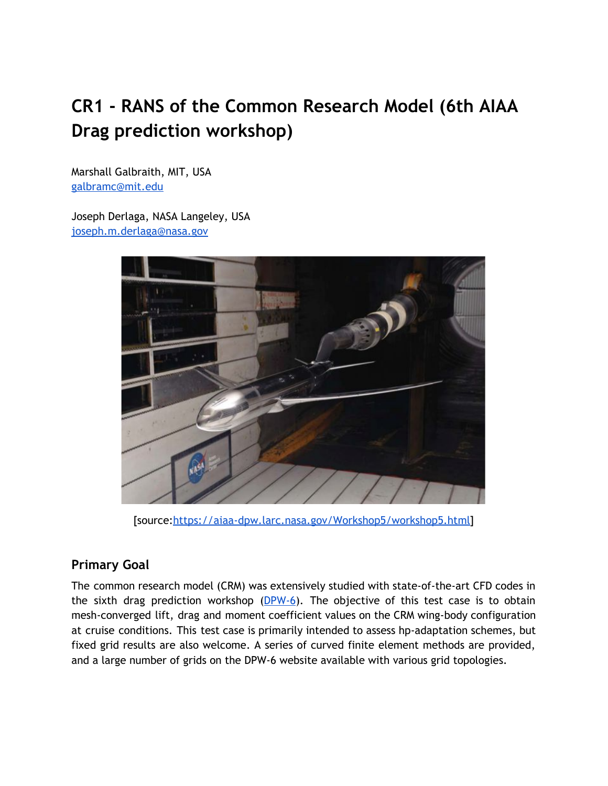# **CR1 - RANS of the Common Research Model (6th AIAA Drag prediction workshop)**

Marshall Galbraith, MIT, USA [galbramc@mit.edu](mailto:galbramc@mit.edu)

Joseph Derlaga, NASA Langeley, USA [joseph.m.derlaga@nasa.gov](mailto:Joseph.m.derlaga@nasa.gov)



[source[:https://aiaa-dpw.larc.nasa.gov/Workshop5/workshop5.html\]](https://aiaa-dpw.larc.nasa.gov/Workshop5/workshop5.html)

# **Primary Goal**

The common research model (CRM) was extensively studied with state-of-the-art CFD codes in the sixth drag prediction workshop  $(DPW-6)$  $(DPW-6)$ . The objective of this test case is to obtain mesh-converged lift, drag and moment coefficient values on the CRM wing-body configuration at cruise conditions. This test case is primarily intended to assess hp-adaptation schemes, but fixed grid results are also welcome. A series of curved finite element methods are provided, and a large number of grids on the DPW-6 website available with various grid topologies.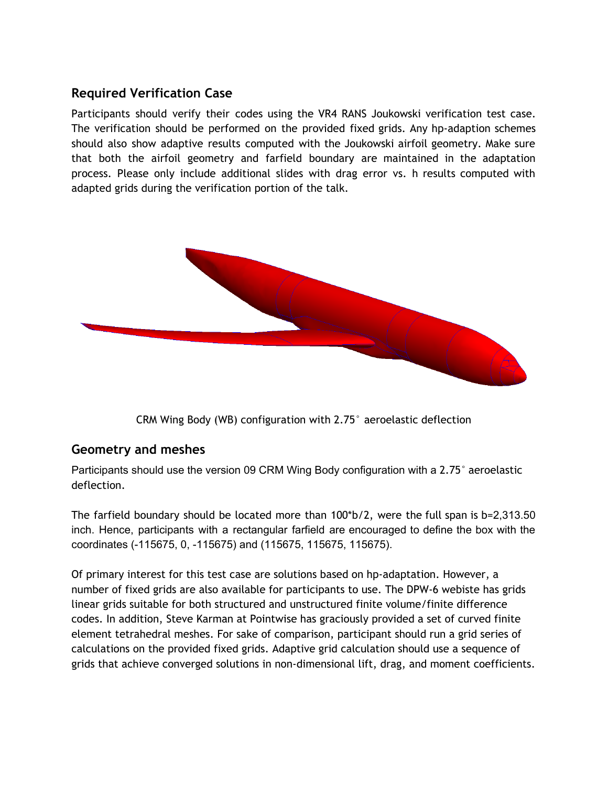#### **Required Verification Case**

Participants should verify their codes using the VR4 RANS Joukowski verification test case. The verification should be performed on the provided fixed grids. Any hp-adaption schemes should also show adaptive results computed with the Joukowski airfoil geometry. Make sure that both the airfoil geometry and farfield boundary are maintained in the adaptation process. Please only include additional slides with drag error vs. h results computed with adapted grids during the verification portion of the talk.



CRM Wing Body (WB) configuration with 2.75° aeroelastic deflection

# **Geometry and meshes**

Participants should use the version 09 CRM Wing Body configuration with a 2.75° aeroelastic deflection.

The farfield boundary should be located more than  $100<sup>*</sup>b/2$ , were the full span is b=2,313.50 inch. Hence, participants with a rectangular farfield are encouraged to define the box with the coordinates (-115675, 0, -115675) and (115675, 115675, 115675).

Of primary interest for this test case are solutions based on hp-adaptation. However, a number of fixed grids are also available for participants to use. The DPW-6 webiste has grids linear grids suitable for both structured and unstructured finite volume/finite difference codes. In addition, Steve Karman at Pointwise has graciously provided a set of curved finite element tetrahedral meshes. For sake of comparison, participant should run a grid series of calculations on the provided fixed grids. Adaptive grid calculation should use a sequence of grids that achieve converged solutions in non-dimensional lift, drag, and moment coefficients.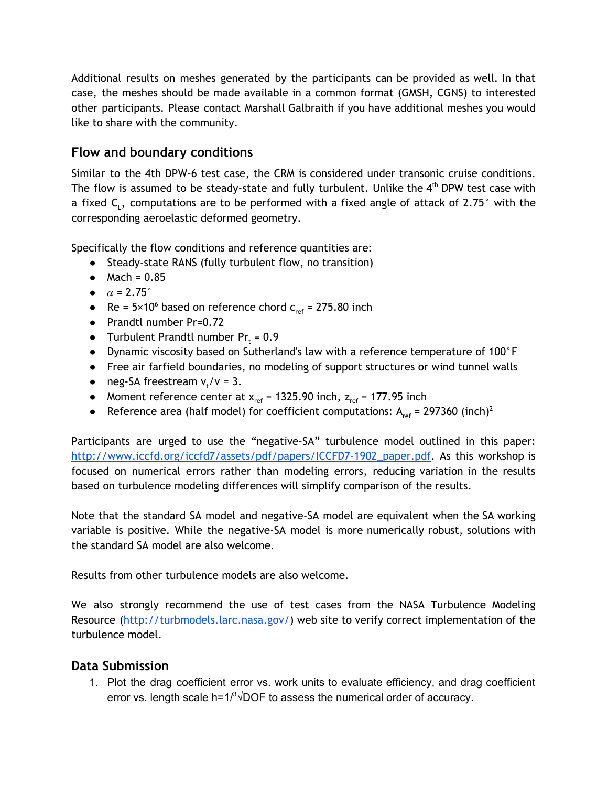Additional results on meshes generated by the participants can be provided as well. In that case, the meshes should be made available in a common format (GMSH, CGNS) to interested other participants. Please contact Marshall Galbraith if you have additional meshes you would like to share with the community.

#### **Flow and boundary conditions**

Similar to the 4th DPW-6 test case, the CRM is considered under transonic cruise conditions. The flow is assumed to be steady-state and fully turbulent. Unlike the  $4<sup>th</sup>$  DPW test case with a fixed  $\mathsf{C}_\mathsf{L}$ , computations are to be performed with a fixed angle of attack of 2.75° with the corresponding aeroelastic deformed geometry.

Specifically the flow conditions and reference quantities are:

- Steady-state RANS (fully turbulent flow, no transition)
- $•$  Mach =  $0.85$
- $\bullet$   $\alpha$  = 2.75 $\degree$
- Re =  $5 \times 10^6$  based on reference chord  $c_{ref}$  = 275.80 inch
- Prandtl number Pr=0.72
- Turbulent Prandtl number  $Pr_t = 0.9$
- Dynamic viscosity based on Sutherland's law with a reference temperature of 100°F
- Free air farfield boundaries, no modeling of support structures or wind tunnel walls
- $\bullet$  neg-SA freestream  $v_t/v = 3$ .
- Moment reference center at  $x_{ref} = 1325.90$  inch,  $z_{ref} = 177.95$  inch
- Reference area (half model) for coefficient computations:  $A_{ref} = 297360$  (inch)<sup>2</sup>

Participants are urged to use the "negative-SA" turbulence model outlined in this paper: [http://www.iccfd.org/iccfd7/assets/pdf/papers/ICCFD7-1902\\_paper.pdf](http://www.iccfd.org/iccfd7/assets/pdf/papers/ICCFD7-1902_paper.pdf). As this workshop is focused on numerical errors rather than modeling errors, reducing variation in the results based on turbulence modeling differences will simplify comparison of the results.

Note that the standard SA model and negative-SA model are equivalent when the SA working variable is positive. While the negative-SA model is more numerically robust, solutions with the standard SA model are also welcome.

Results from other turbulence models are also welcome.

We also strongly recommend the use of test cases from the NASA Turbulence Modeling Resource [\(http://turbmodels.larc.nasa.gov/\)](http://turbmodels.larc.nasa.gov/) web site to verify correct implementation of the turbulence model.

# **Data Submission**

1. Plot the drag coefficient error vs. work units to evaluate efficiency, and drag coefficient error vs. length scale h=1/ $3\sqrt{DOF}$  to assess the numerical order of accuracy.